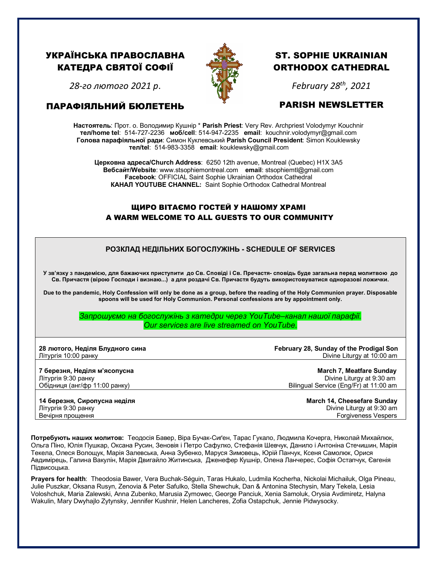# УКРАЇНСЬКА ПРАВОСЛАВНА КАТЕДРА СВЯТОЇ СОФІЇ

*28-го лютого 2021 р*.

ПАРАФІЯЛЬНИЙ БЮЛЕТЕНЬ



# ST. SOPHIE UKRAINIAN ORTHODOX CATHEDRAL

*February 28th, 2021*

## PARISH NEWSLETTER

**Настоятель**: Прот. о. Володимир Кушнір \* **Parish Priest**: Very Rev. Archpriest Volodymyr Kouchnir **тел/home tel**: 514-727-2236 **моб/cell**: 514-947-2235 **email**: kouchnir.volodymyr@gmail.com **Голова парафіяльної ради**: Симон Куклевський **Parish Council President**: Simon Kouklewsky  **тел/tel**: 514-983-3358 **email**: kouklewsky@gmail.com

**Церковна адреса/Church Address**: 6250 12th avenue, Montreal (Quebec) H1X 3A5 **Вебсайт/Website**: www.stsophiemontreal.com **email**: stsophiemtl@gmail.com **Facebook**: OFFICIAL Saint Sophie Ukrainian Orthodox Cathedral **КАНАЛ YOUTUBE CHANNEL:** Saint Sophie Orthodox Cathedral Montreal

### ЩИРО ВІТАЄМО ГОСТЕЙ У НАШОМУ ХРАМІ A WARM WELCOME TO ALL GUESTS TO OUR COMMUNITY

### **РОЗКЛАД НЕДІЛЬНИХ БОГОСЛУЖІНЬ - SCHEDULE OF SERVICES**

**У зв'язку з пандемією, для бажаючих приступити до Св. Сповіді і Св. Пречастя- сповідь буде загальна перед молитвою до Св. Причастя (вірою Господи і визнаю...) а для роздачі Св. Причастя будуть використовуватися одноразові ложички.**

**Due to the pandemic, Holy Confession will only be done as a group, before the reading of the Holy Communion prayer. Disposable spoons will be used for Holy Communion. Personal confessions are by appointment only.**

> *Запрошуємо на богослужінь з катедри через YouTube–канал нашої парафії. Our services are live streamed on YouTube.*

**28 лютого, Неділя Блудного сина February 28, Sunday of the Prodigal Son** Літургія 10:00 ранкуDivine Liturgy at 10:00 am

**7 березня, Неділя м'ясопусна March 7, Meatfare Sunday** Літургія 9:30 ранкуDivine Liturgy at 9:30 am Обідниця (анг/фр 11:00 ранку) Bilingual Service (Eng/Fr) at 11:00 am

**Forgiveness Vespers** 

**14 березня, Сиропусна неділя March 14, Cheesefare Sunday** Літургія 9:30 ранкуDivine Liturgy at 9:30 am

**Потребують наших молитов:** Теодосія Бавер, Віра Бучак-Сиґен, Тарас Гукало, Людмила Кочерга, Николай Михайлюк, Ольгa Піно, Юлія Пушкар, Оксанa Русин, Зеновія і Петро Сафулко, Стефанія Шевчук, Данило і Антоніна Стечишин, Марія Текела, Олеся Волощук, Марія Залевська, Анна Зубенко, Маруся Зимовець, Юрій Панчук, Ксеня Самолюк, Орися Авдимірець, Галина Вакулін, Марія Двигайло Житинська, Дженефер Кушнір, Олена Ланчерес, Софія Остапчук, Євгенія Підвисоцька.

**Prayers for health**: Theodosia Bawer, Vera Buchak-Séguin, Taras Hukalo, Ludmila Kocherha, Nickolai Michailuk, Olga Pineau, Julie Puszkar, Oksana Rusyn, Zenovia & Peter Safulko, Stella Shewchuk, Dan & Antonina Stechysin, Mary Tekela, Lesia Voloshchuk, Maria Zalewski, Anna Zubenko, Marusia Zymowec, George Panciuk, Xenia Samoluk, Orysia Avdimiretz, Halyna Wakulin, Mary Dwyhajlo Zytynsky, Jennifer Kushnir, Helen Lancheres, Zofia Ostapchuk, Jennie Pidwysocky.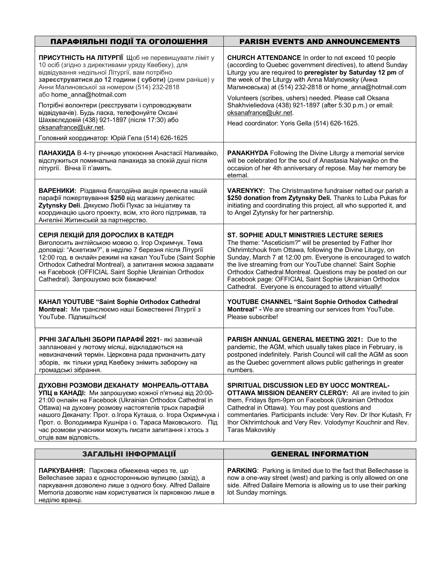| ПАРАФІЯЛЬНІ ПОДІЇ ТА ОГОЛОШЕННЯ<br><b>PARISH EVENTS AND ANNOUNCEMENTS</b>                                                                                                                                                                                                                                                                                                                                                                                                     |                                                                                                                                                                                                                                                                                                                                                                                                                                                                                        |  |
|-------------------------------------------------------------------------------------------------------------------------------------------------------------------------------------------------------------------------------------------------------------------------------------------------------------------------------------------------------------------------------------------------------------------------------------------------------------------------------|----------------------------------------------------------------------------------------------------------------------------------------------------------------------------------------------------------------------------------------------------------------------------------------------------------------------------------------------------------------------------------------------------------------------------------------------------------------------------------------|--|
| ПРИСУТНІСТЬ НА ЛІТУРГІЇ Щоб не перевищувати ліміт у<br>10 осіб (згідно з директивами уряду Квебеку), для<br>відвідування недільної Літургії, вам потрібно<br>зареєструватися до 12 години (суботи) (днем раніше) у<br>Анни Малиновської за номером (514) 232-2818<br>aбo home_anna@hotmail.com<br>Потрібні волонтери (реєструвати і супроводжувати<br>відвідувачів). Будь ласка, телефонуйте Оксані<br>Шахвєлєдовій (438) 921-1897 (після 17:30) або<br>oksanafrance@ukr.net. | <b>CHURCH ATTENDANCE</b> In order to not exceed 10 people<br>(according to Quebec government directives), to attend Sunday<br>Liturgy you are required to preregister by Saturday 12 pm of<br>the week of the Liturgy with Anna Malynowsky (Анна<br>Малиновська) at (514) 232-2818 or home anna@hotmail.com<br>Volunteers (scribes, ushers) needed. Please call Oksana<br>Shakhvieliedova (438) 921-1897 (after 5:30 p.m.) or email:                                                   |  |
|                                                                                                                                                                                                                                                                                                                                                                                                                                                                               | oksanafrance@ukr.net.<br>Head coordinator: Yoris Gella (514) 626-1625.                                                                                                                                                                                                                                                                                                                                                                                                                 |  |
| Головний координатор: Юрій Гела (514) 626-1625                                                                                                                                                                                                                                                                                                                                                                                                                                |                                                                                                                                                                                                                                                                                                                                                                                                                                                                                        |  |
| ПАНАХИДА В 4-ту річницю упокоєння Анастасії Наливайко,<br>відслужиться поминальна панахида за спокій душі після<br>літургії. Вічна її п'амять.                                                                                                                                                                                                                                                                                                                                | <b>PANAKHYDA</b> Following the Divine Liturgy a memorial service<br>will be celebrated for the soul of Anastasia Nalywajko on the<br>occasion of her 4th anniversary of repose. May her memory be<br>eternal.                                                                                                                                                                                                                                                                          |  |
| ВАРЕНИКИ: Різдвяна благодійна акція принесла нашій<br>парафії пожертвування \$250 від магазину делікатес<br>Zytynsky Deli. Дякуємо Любі Пукас за ініціативу та<br>координацію цього проекту, всім, хто його підтримав, та<br>Ангеліні Житинській за партнерство.                                                                                                                                                                                                              | VARENYKY: The Christmastime fundraiser netted our parish a<br>\$250 donation from Zytynsky Deli. Thanks to Luba Pukas for<br>initiating and coordinating this project, all who supported it, and<br>to Angel Zytynsky for her partnership.                                                                                                                                                                                                                                             |  |
| СЕРІЯ ЛЕКЦІЙ ДЛЯ ДОРОСЛИХ В КАТЕДРІ<br>Виголосить англійською мовою о. Ігор Охримчук. Тема<br>доповіді: "Аскетизм?", в неділю 7 березня після Літургії<br>12:00 год. в онлайн режимі на канал YouTube (Saint Sophie<br>Orthodox Cathedral Montreal), а запитання можна задавати<br>на Facebook (OFFICIAL Saint Sophie Ukrainian Orthodox<br>Cathedral). Запрошуємо всіх бажаючих!                                                                                             | ST. SOPHIE ADULT MINISTRIES LECTURE SERIES<br>The theme: "Asceticism?" will be presented by Father Ihor<br>Okhrimtchouk from Ottawa, following the Divine Liturgy, on<br>Sunday, March 7 at 12:00 pm. Everyone is encouraged to watch<br>the live streaming from our YouTube channel: Saint Sophie<br>Orthodox Cathedral Montreal. Questions may be posted on our<br>Facebook page: OFFICIAL Saint Sophie Ukrainian Orthodox<br>Cathedral. Everyone is encouraged to attend virtually! |  |
| КАНАЛ YOUTUBE "Saint Sophie Orthodox Cathedral<br>Montreal: Ми транслюємо наші Божественні Літургії з<br>YouTube. Підпишіться!                                                                                                                                                                                                                                                                                                                                                | YOUTUBE CHANNEL "Saint Sophie Orthodox Cathedral<br>Montreal" - We are streaming our services from YouTube.<br>Please subscribe!                                                                                                                                                                                                                                                                                                                                                       |  |
| РІЧНІ ЗАГАЛЬНІ ЗБОРИ ПАРАФІЇ 2021- які зазвичай<br>заплановані у лютому місяці, відкладаються на<br>невизначений термін. Церковна рада призначить дату<br>зборів, як тільки уряд Квебеку знімить заборону на<br>громадські зібрання.                                                                                                                                                                                                                                          | <b>PARISH ANNUAL GENERAL MEETING 2021: Due to the</b><br>pandemic, the AGM, which usually takes place in February, is<br>postponed indefinitely. Parish Council will call the AGM as soon<br>as the Quebec government allows public gatherings in greater<br>numbers.                                                                                                                                                                                                                  |  |
| ДУХОВНІ РОЗМОВИ ДЕКАНАТУ МОНРЕАЛЬ-ОТТАВА<br>УПЦ в КАНАДІ: Ми запрошуємо кожної п'ятниці від 20:00-<br>21:00 онлайн на Facebook (Ukrainian Orthodox Cathedral in<br>Ottawa) на духовну розмову настоятелів трьох парафій<br>нашого Деканату: Прот. о. Ігора Куташа, о. Ігора Охримчука і<br>Прот. о. Володимира Кушніра і о. Тараса Маковського. Під<br>час розмови учасники можуть писати запитання і хтось з<br>отців вам відповість.                                        | SPIRITUAL DISCUSSION LED BY UOCC MONTREAL-<br>OTTAWA MISSION DEANERY CLERGY: All are invited to join<br>them, Fridays 8pm-9pm on Facebook (Ukrainian Orthodox<br>Cathedral in Ottawa). You may post questions and<br>commentaries. Participants include: Very Rev. Dr Ihor Kutash, Fr<br>Ihor Okhrimtchouk and Very Rev. Volodymyr Kouchnir and Rev.<br><b>Taras Makovskiy</b>                                                                                                         |  |
|                                                                                                                                                                                                                                                                                                                                                                                                                                                                               |                                                                                                                                                                                                                                                                                                                                                                                                                                                                                        |  |

| ЗАГАЛЬНІ ІНФОРМАЦІЇ                                                                                                                                                                                                                         | <b>GENERAL INFORMATION</b>                                                                                                                                                                                                            |  |
|---------------------------------------------------------------------------------------------------------------------------------------------------------------------------------------------------------------------------------------------|---------------------------------------------------------------------------------------------------------------------------------------------------------------------------------------------------------------------------------------|--|
| ПАРКУВАННЯ: Парковка обмежена через те, що<br>Bellechasee зараз є односторонньою вулицею (захід), а<br>паркування дозволено лише з одного боку. Alfred Dallaire<br>Memoria дозволяє нам користуватися їх парковкою лише в<br>неділю вранці. | <b>PARKING:</b> Parking is limited due to the fact that Bellechasse is<br>now a one-way street (west) and parking is only allowed on one<br>side. Alfred Dallaire Memoria is allowing us to use their parking<br>lot Sunday mornings. |  |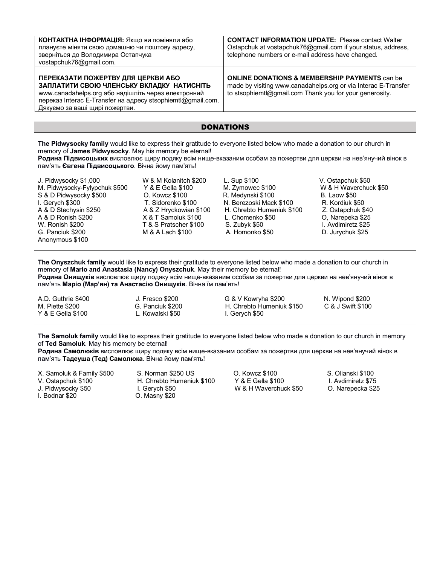| КОНТАКТНА ІНФОРМАЦІЯ: Якщо ви поміняли або<br>плануєте міняти свою домашню чи поштову адресу,<br>зверніться до Володимира Остапчука<br>vostapchuk76@gmail.com.                                                                                                                                                                                                                               |                                                                                                                                                                                  | <b>CONTACT INFORMATION UPDATE: Please contact Walter</b><br>Ostapchuk at vostapchuk76@gmail.com if your status, address,<br>telephone numbers or e-mail address have changed.         |                                                                                                                                                                         |  |
|----------------------------------------------------------------------------------------------------------------------------------------------------------------------------------------------------------------------------------------------------------------------------------------------------------------------------------------------------------------------------------------------|----------------------------------------------------------------------------------------------------------------------------------------------------------------------------------|---------------------------------------------------------------------------------------------------------------------------------------------------------------------------------------|-------------------------------------------------------------------------------------------------------------------------------------------------------------------------|--|
| ПЕРЕКАЗАТИ ПОЖЕРТВУ ДЛЯ ЦЕРКВИ АБО<br>ЗАПЛАТИТИ СВОЮ ЧЛЕНСЬКУ ВКЛАДКУ НАТИСНІТЬ<br>www.canadahelps.org або надішліть через електронний<br>переказ Interac E-Transfer на адресу stsophiemtl@gmail.com.<br>Дякуємо за ваші щирі пожертви.                                                                                                                                                      |                                                                                                                                                                                  | <b>ONLINE DONATIONS &amp; MEMBERSHIP PAYMENTS can be</b><br>made by visiting www.canadahelps.org or via Interac E-Transfer<br>to stsophiemtl@gmail.com Thank you for your generosity. |                                                                                                                                                                         |  |
| <b>DONATIONS</b>                                                                                                                                                                                                                                                                                                                                                                             |                                                                                                                                                                                  |                                                                                                                                                                                       |                                                                                                                                                                         |  |
| The Pidwysocky family would like to express their gratitude to everyone listed below who made a donation to our church in<br>memory of James Pidwysocky. May his memory be eternal!<br>Родина Підвисоцьких висловлює щиру подяку всім нище-вказаним особам за пожертви для церкви на нев'янучий вінок в<br>пам'ять Євгена Підвисоцького. Вічна йому пам'ять!                                 |                                                                                                                                                                                  |                                                                                                                                                                                       |                                                                                                                                                                         |  |
| J. Pidwysocky \$1,000<br>M. Pidwysocky-Fylypchuk \$500<br>S & D Pidwysocky \$500<br>I. Gerych \$300<br>A & D Stechysin \$250<br>A & D Ronish \$200<br>W. Ronish \$200<br>G. Panciuk \$200<br>Anonymous \$100                                                                                                                                                                                 | W & M Kolanitch \$200<br>Y & E Gella \$100<br>O. Kowcz \$100<br>T. Sidorenko \$100<br>A & Z Hryckowian \$100<br>X & T Samoluk \$100<br>T & S Pratscher \$100<br>M & A Lach \$100 | L. Sup \$100<br>M. Zymowec \$100<br>R. Medynski \$100<br>N. Berezoski Mack \$100<br>H. Chrebto Humeniuk \$100<br>L. Chomenko \$50<br>S. Zubyk \$50<br>A. Homonko \$50                 | V. Ostapchuk \$50<br>W & H Waverchuck \$50<br><b>B.</b> Laow \$50<br>R. Kordiuk \$50<br>Z. Ostapchuk \$40<br>O, Narepeka \$25<br>I. Avdimiretz \$25<br>D. Jurychuk \$25 |  |
| The Onyszchuk family would like to express their gratitude to everyone listed below who made a donation to our church in<br>memory of Mario and Anastasia (Nancy) Onyszchuk. May their memory be eternal!<br>Родина Онищуків висловлює щиру подяку всім нище-вказаним особам за пожертви для церкви на нев'янучий вінок в<br>пам'ять Маріо (Мар'ян) та Анастасію Онищуків. Вічна їм пам'ять! |                                                                                                                                                                                  |                                                                                                                                                                                       |                                                                                                                                                                         |  |
| A.D. Guthrie \$400<br>M. Piette \$200<br>Y & E Gella \$100                                                                                                                                                                                                                                                                                                                                   | J. Fresco \$200<br>G. Panciuk \$200<br>L. Kowalski \$50                                                                                                                          | G & V Kowryha \$200<br>H. Chrebto Humeniuk \$150<br>I. Gerych \$50                                                                                                                    | N. Wipond \$200<br>C & J Swift \$100                                                                                                                                    |  |
| The Samoluk family would like to express their gratitude to everyone listed below who made a donation to our church in memory<br>of Ted Samoluk. May his memory be eternal!<br>Родина Самолюків висловлює щиру подяку всім нище-вказаним особам за пожертви для церкви на нев'янучий вінок в<br>пам'ять Тадеуша (Тед) Самолюка. Вічна йому пам'ять!                                          |                                                                                                                                                                                  |                                                                                                                                                                                       |                                                                                                                                                                         |  |
| X. Samoluk & Family \$500<br>V. Ostapchuk \$100<br>J. Pidwysocky \$50<br>I. Bodnar \$20                                                                                                                                                                                                                                                                                                      | S. Norman \$250 US<br>H. Chrebto Humeniuk \$100<br>I. Gerych \$50<br>O. Masny \$20                                                                                               | O. Kowcz \$100<br>Y & E Gella \$100<br>W & H Waverchuck \$50                                                                                                                          | S. Olianski \$100<br>I. Avdimiretz \$75<br>O. Narepecka \$25                                                                                                            |  |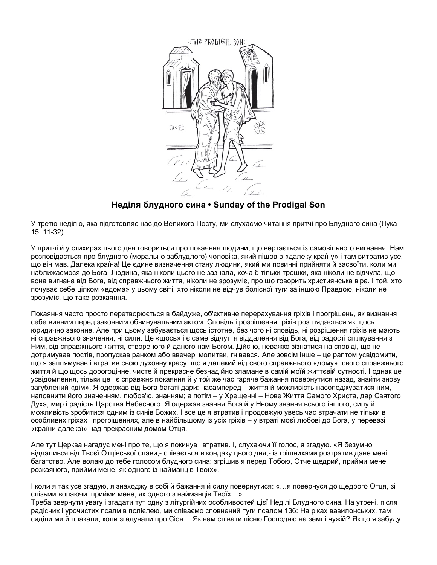

### **Неділя блудного сина • Sunday of the Prodigal Son**

У третю неділю, яка підготовляє нас до Великого Посту, ми слухаємо читання притчі про Блудного сина (Лука 15, 11-32).

У притчі й у стихирах цього дня говориться про покаяння людини, що вертається із самовільного вигнання. Нам розповідається про блудного (морально заблудлого) чоловіка, який пішов в «далеку країну» і там витратив усе, що він мав. Далека країна! Це єдине визначення стану людини, який ми повинні прийняти й засвоїти, коли ми наближаємося до Бога. Людина, яка ніколи цього не зазнала, хоча б тільки трошки, яка ніколи не відчула, що вона вигнана від Бога, від справжнього життя, ніколи не зрозуміє, про що говорить християнська віра. І той, хто почуває себе цілком «вдома» у цьому світі, хто ніколи не відчув болісної туги за іншою Правдою, ніколи не зрозуміє, що таке розкаяння.

Покаяння часто просто перетворюється в байдуже, об'єктивне перерахування гріхів і прогрішень, як визнання себе винним перед законним обвинувальним актом. Сповідь і розрішення гріхів розглядається як щось юридично законне. Але при цьому забувається щось істотне, без чого ні сповідь, ні розрішення гріхів не мають ні справжнього значення, ні сили. Це «щось» і є саме відчуття віддалення від Бога, від радості спілкування з Ним, від справжнього життя, створеного й даного нам Богом. Дійсно, неважко зізнатися на сповіді, що не дотримував постів, пропускав ранком або ввечері молитви, гнівався. Але зовсім інше – це раптом усвідомити, що я заплямував і втратив свою духовну красу, що я далекий від свого справжнього «дому», свого справжнього життя й що щось дорогоцінне, чисте й прекрасне безнадійно зламане в самій моїй життєвій сутності. І однак це усвідомлення, тільки це і є справжнє покаяння й у той же час гаряче бажання повернутися назад, знайти знову загублений «дім». Я одержав від Бога багаті дари: насамперед – життя й можливість насолоджуватися ним, наповнити його значенням, любов'ю, знанням; а потім – у Хрещенні – Нове Життя Самого Христа, дар Святого Духа, мир і радість Царства Небесного. Я одержав знання Бога й у Ньому знання всього іншого, силу й можливість зробитися одним із синів Божих. І все це я втратив і продовжую увесь час втрачати не тільки в особливих гріхах і прогрішеннях, але в найбільшому із усіх гріхів – у втраті моєї любові до Бога, у перевазі «країни далекої» над прекрасним домом Отця.

Але тут Церква нагадує мені про те, що я покинув і втратив. І, слухаючи її голос, я згадую. «Я безумно віддалився від Твоєї Отцівської слави,- співається в кондаку цього дня,- із грішниками розтратив дане мені багатство. Але волаю до тебе голосом блудного сина: згрішив я перед Тобою, Отче щедрий, прийми мене розкаяного, прийми мене, як одного із найманців Твоїх».

І коли я так усе згадую, я знаходжу в собі й бажання й силу повернутися: «…я повернуся до щедрого Отця, зі слізьми волаючи: прийми мене, як одного з найманців Твоїх…».

Треба звернути увагу і згадати тут одну з літургійних особливостей цієї Неділі Блудного сина. На утрені, після радісних і урочистих псалмів полієлею, ми співаємо сповнений туги псалом 136: На ріках вавилонських, там сиділи ми й плакали, коли згадували про Сіон… Як нам співати пісню Господню на землі чужій? Якщо я забуду